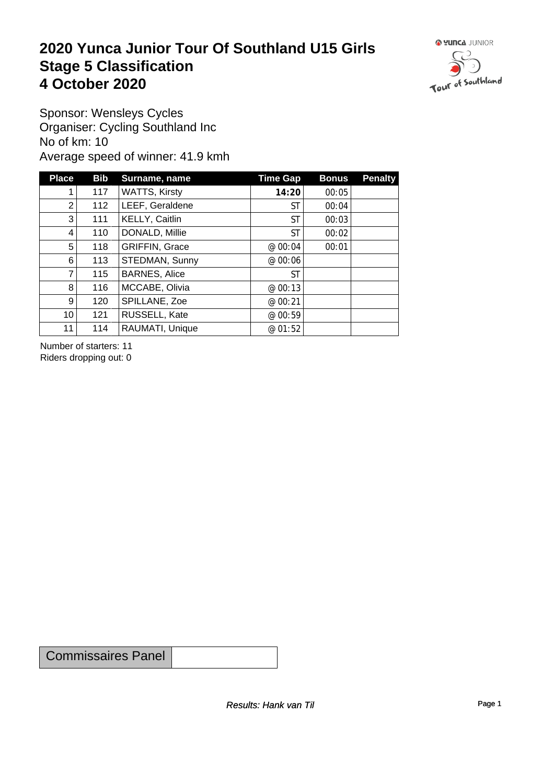#### **2020 Yunca Junior Tour Of Southland U15 Girls** Stage 5 Classification<br>4 October 2020 **4 October 2020**



Sponsor: Wensleys Cycles Organiser: Cycling Southland Inc No of km: 10 Average speed of winner: 41.9 kmh

| <b>Place</b>    | <b>Bib</b> | Surname, name         | Time Gap  | <b>Bonus</b> | <b>Penalty</b> |
|-----------------|------------|-----------------------|-----------|--------------|----------------|
|                 | 117        | <b>WATTS, Kirsty</b>  | 14:20     | 00:05        |                |
| $\overline{2}$  | 112        | LEEF, Geraldene       | ST        | 00:04        |                |
| 3 <sup>1</sup>  | 111        | KELLY, Caitlin        | ST        | 00:03        |                |
| 4               | 110        | DONALD, Millie        | ST        | 00:02        |                |
| 5               | 118        | <b>GRIFFIN, Grace</b> | @00:04    | 00:01        |                |
| $6 \mid$        | 113        | STEDMAN, Sunny        | @ 00:06   |              |                |
| 7               | 115        | <b>BARNES, Alice</b>  | <b>ST</b> |              |                |
| 8 <sup>1</sup>  | 116        | MCCABE, Olivia        | @ 00:13   |              |                |
| 9 <sup>1</sup>  | 120        | SPILLANE, Zoe         | @ 00:21   |              |                |
| 10 <sub>1</sub> | 121        | RUSSELL, Kate         | @ 00:59   |              |                |
| 11              | 114        | RAUMATI, Unique       | @ 01:52   |              |                |

Number of starters: 11 Riders dropping out: 0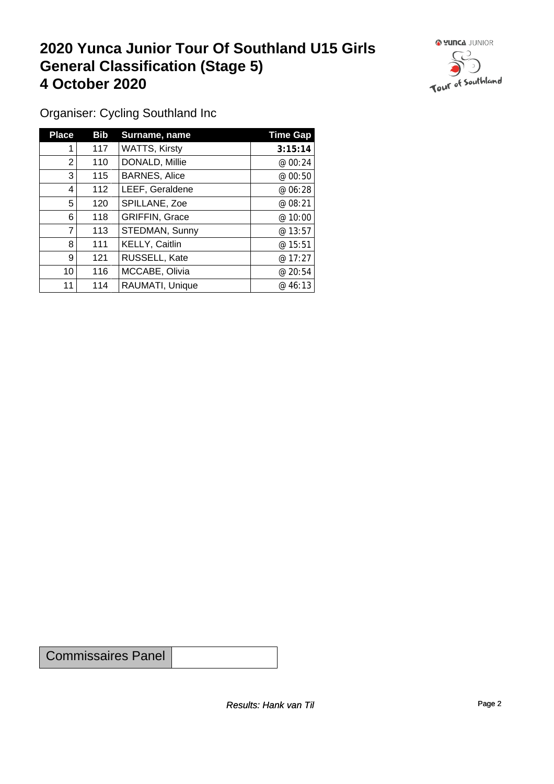### **2020 Yunca Junior Tour Of Southland U15 Girls General Classification (Stage 5)**<br>
4 October 2020 **4 October 2020**



Organiser: Cycling Southland Inc

| <b>Place</b>   | <b>Bib</b> | Surname, name         | <b>Time Gap</b> |
|----------------|------------|-----------------------|-----------------|
|                | 117        | <b>WATTS, Kirsty</b>  | 3:15:14         |
| $\overline{2}$ | 110        | DONALD, Millie        | @00:24          |
| 3              | 115        | <b>BARNES, Alice</b>  | @00:50          |
| 4              | 112        | LEEF, Geraldene       | @ 06:28         |
| 5              | 120        | SPILLANE, Zoe         | @ 08:21         |
| 6              | 118        | <b>GRIFFIN, Grace</b> | @ 10:00         |
| 7              | 113        | STEDMAN, Sunny        | @13:57          |
| 8              | 111        | KELLY, Caitlin        | @ 15:51         |
| 9              | 121        | RUSSELL, Kate         | @17:27          |
| 10             | 116        | MCCABE, Olivia        | @20:54          |
| 11             | 114        | RAUMATI, Unique       | @46:13          |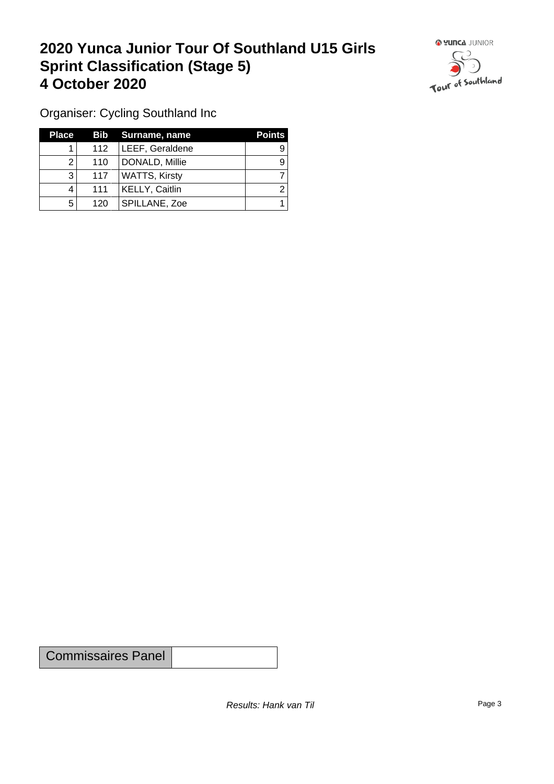### **2020 Yunca Junior Tour Of Southland U15 Girls Sprint Classification (Stage 5) 4 October 2020**



Organiser: Cycling Southland Inc

| <b>Place</b> |     | Bib Surname, name    | <b>Points</b> |
|--------------|-----|----------------------|---------------|
|              | 112 | LEEF, Geraldene      |               |
|              | 110 | DONALD, Millie       |               |
| 3            | 117 | <b>WATTS, Kirsty</b> |               |
|              | 111 | KELLY, Caitlin       |               |
| 5            | 120 | SPILLANE, Zoe        |               |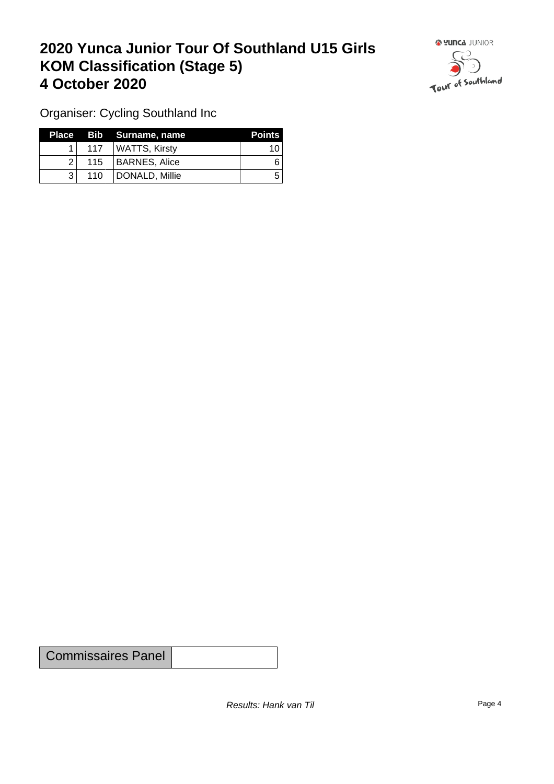## **2020 Yunca Junior Tour Of Southland U15 Girls KOM Classification (Stage 5) 4 October 2020 19 To 2020 19 To 2020 19 To 2020**



Organiser: Cycling Southland Inc

|     |                  | Place Bib Surname, name | <b>Points</b> |
|-----|------------------|-------------------------|---------------|
|     | 117 <sup>1</sup> | ∣ WATTS, Kirsty         | 10            |
| 21  |                  | 115   BARNES, Alice     |               |
| ? । | 110              | DONALD, Millie          | ∽             |